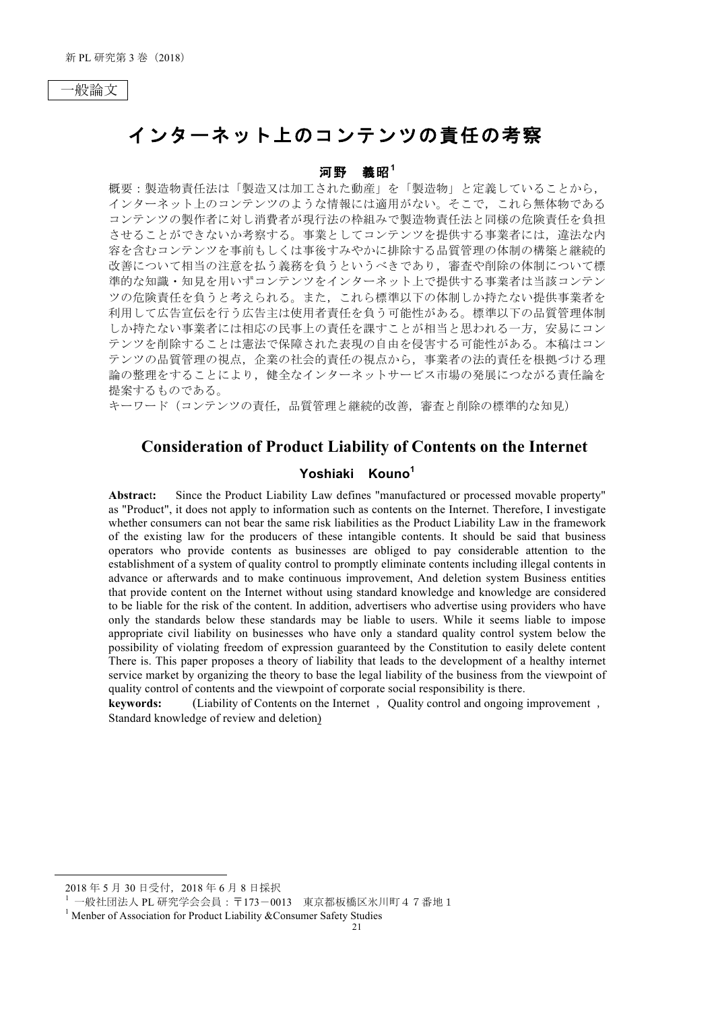# インターネット上のコンテンツの責任の考察

#### 河野 義昭 $1$

概要:製造物責任法は「製造又は加工された動産」を「製造物」と定義していることから、 インターネット上のコンテンツのような情報には適用がない。そこで、これら無体物である コンテンツの製作者に対し消費者が現行法の枠組みで製造物責任法と同様の危険責任を負担 させることができないか考察する。事業としてコンテンツを提供する事業者には、違法な内 容を含むコンテンツを事前もしくは事後すみやかに排除する品質管理の体制の構築と継続的 改善について相当の注意を払う義務を負うというべきであり、審査や削除の体制について標 準的な知識・知見を用いずコンテンツをインターネット上で提供する事業者は当該コンテン ツの危険責任を負うと考えられる。また、これら標準以下の体制しか持たない提供事業者を 利用して広告宣伝を行う広告主は使用者責任を負う可能性がある。標準以下の品質管理体制 しか持たない事業者には相応の民事上の責任を課すことが相当と思われる一方、安易にコン テンツを削除することは憲法で保障された表現の自由を侵害する可能性がある。本稿はコン テンツの品質管理の視点、企業の社会的責任の視点から、事業者の法的責任を根拠づける理 論の整理をすることにより、健全なインターネットサービス市場の発展につながる責任論を 提案するものである。

キーワード(コンテンツの責任、品質管理と継続的改善、審査と削除の標準的な知見)

## **Consideration of Product Liability of Contents on the Internet**

## Yoshiaki Kouno<sup>1</sup>

Since the Product Liability Law defines "manufactured or processed movable property" Abstract: as "Product", it does not apply to information such as contents on the Internet. Therefore, I investigate whether consumers can not bear the same risk liabilities as the Product Liability Law in the framework of the existing law for the producers of these intangible contents. It should be said that business operators who provide contents as businesses are obliged to pay considerable attention to the establishment of a system of quality control to promptly eliminate contents including illegal contents in advance or afterwards and to make continuous improvement, And deletion system Business entities that provide content on the Internet without using standard knowledge and knowledge are considered to be liable for the risk of the content. In addition, advertisers who advertise using providers who have only the standards below these standards may be liable to users. While it seems liable to impose appropriate civil liability on businesses who have only a standard quality control system below the possibility of violating freedom of expression guaranteed by the Constitution to easily delete content There is. This paper proposes a theory of liability that leads to the development of a healthy internet service market by organizing the theory to base the legal liability of the business from the viewpoint of quality control of contents and the viewpoint of corporate social responsibility is there.

kevwords: (Liability of Contents on the Internet, Ouality control and ongoing improvement, Standard knowledge of review and deletion)

<sup>2018</sup>年5月30日受付, 2018年6月8日採択

<sup>1</sup> 一般社団法人 PL 研究学会会員: 〒173-0013 東京都板橋区氷川町47番地1

<sup>&</sup>lt;sup>1</sup> Menber of Association for Product Liability & Consumer Safety Studies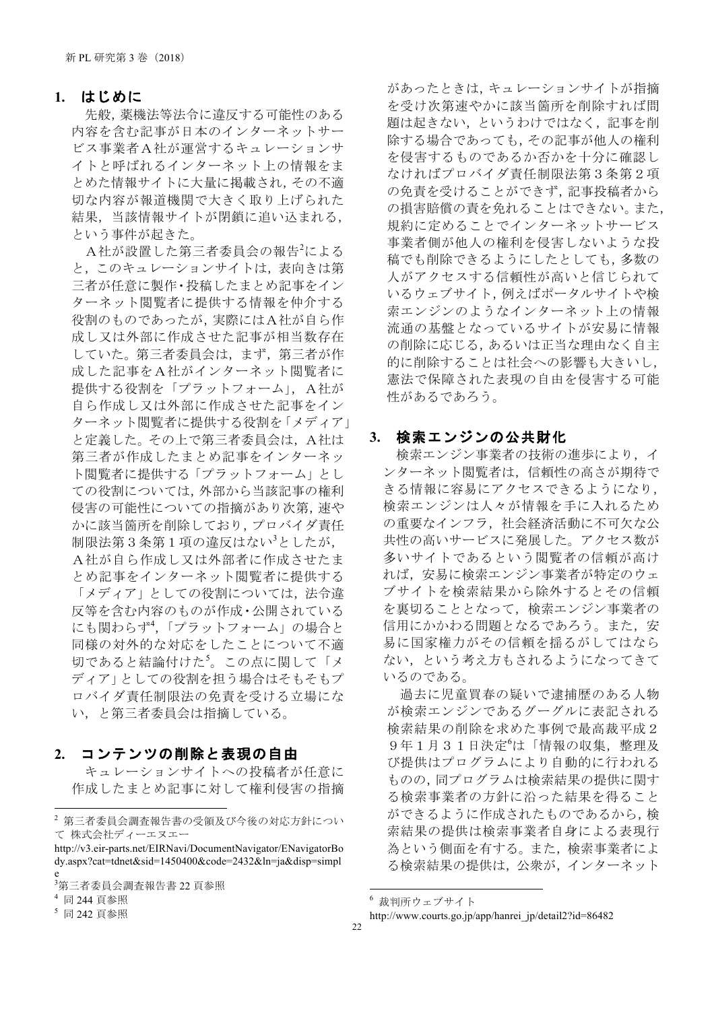#### 1. はじめに

先般,薬機法等法令に違反する可能性のある 内容を含む記事が日本のインターネットサー ビス事業者A社が運営するキュレーションサ イトと呼ばれるインターネット上の情報をま とめた情報サイトに大量に掲載され、その不適 切な内容が報道機関で大きく取り上げられた 結果、当該情報サイトが閉鎖に追い込まれる. という事件が起きた。

A社が設置した第三者委員会の報告<sup>2</sup>による と、このキュレーションサイトは、表向きは第 三者が任意に製作・投稿したまとめ記事をイン ターネット閲覧者に提供する情報を仲介する 役割のものであったが、実際にはA社が自ら作 成し又は外部に作成させた記事が相当数存在 していた。第三者委員会は、まず、第三者が作 成した記事をA社がインターネット閲覧者に 提供する役割を「プラットフォーム」, A社が 自ら作成し又は外部に作成させた記事をイン ターネット閲覧者に提供する役割を「メディア」 と定義した。その上で第三者委員会は、A社は 第三者が作成したまとめ記事をインターネッ ト閲覧者に提供する「プラットフォーム」とし ての役割については、外部から当該記事の権利 侵害の可能性についての指摘があり次第. 速や かに該当箇所を削除しており、プロバイダ青任 制限法第3条第1項の違反はない<sup>3</sup>としたが, A社が自ら作成し又は外部者に作成させたま とめ記事をインターネット閲覧者に提供する 「メディア」としての役割については、法令違 反等を含む内容のものが作成·公開されている にも関わらず4.「プラットフォーム」の場合と 同様の対外的な対応をしたことについて不適 切であると結論付けた<sup>5</sup>。この点に関して「メ ディア」としての役割を担う場合はそもそもプ ロバイダ責任制限法の免責を受ける立場にな い、と第三者委員会は指摘している。

### 2. コンテンツの削除と表現の自由

キュレーションサイトへの投稿者が任意に 作成したまとめ記事に対して権利侵害の指摘

があったときは、キュレーションサイトが指摘 を受け次第速やかに該当箇所を削除すれば問 題は起きない、というわけではなく、記事を削 除する場合であっても、その記事が他人の権利 を侵害するものであるか否かを十分に確認し なければプロバイダ責任制限法第3条第2項 の免責を受けることができず、記事投稿者から の損害賠償の責を免れることはできない。また, 規約に定めることでインターネットサービス 事業者側が他人の権利を侵害しないような投 稿でも削除できるようにしたとしても、多数の 人がアクセスする信頼性が高いと信じられて いるウェブサイト, 例えばポータルサイトや検 索エンジンのようなインターネット上の情報 流通の基盤となっているサイトが安易に情報 の削除に応じる, あるいは正当な理由なく自主 的に削除することは社会への影響も大きいし、 憲法で保障された表現の自由を侵害する可能 性があるであろう。

### 3. 検索エンジンの公共財化

検索エンジン事業者の技術の進歩により、イ ンターネット閲覧者は、信頼性の高さが期待で きる情報に容易にアクセスできるようになり, 検索エンジンは人々が情報を手に入れるため の重要なインフラ、社会経済活動に不可欠な公 共性の高いサービスに発展した。アクセス数が 多いサイトであるという閲覧者の信頼が高け れば、安易に検索エンジン事業者が特定のウェ ブサイトを検索結果から除外するとその信頼 を裏切ることとなって、検索エンジン事業者の 信用にかかわる問題となるであろう。また、安 易に国家権力がその信頼を揺るがしてはなら ない、という考え方もされるようになってきて いるのである。

過去に児童買春の疑いで逮捕歴のある人物 が検索エンジンであるグーグルに表記される 検索結果の削除を求めた事例で最高裁平成2 9年1月31日決定<sup>6</sup>は「情報の収集, 整理及 び提供はプログラムにより自動的に行われる ものの,同プログラムは検索結果の提供に関す る検索事業者の方針に沿った結果を得ること ができるように作成されたものであるから, 検 索結果の提供は検索事業者自身による表現行 為という側面を有する。また、検索事業者によ る検索結果の提供は、公衆が、インターネット

<sup>2</sup> 第三者委員会調査報告書の受領及び今後の対応方針につい て 株式会社ディーエヌエー

http://v3.eir-parts.net/EIRNavi/DocumentNavigator/ENavigatorBo dy.aspx?cat=tdnet&sid=1450400&code=2432&ln=ja&disp=simpl

<sup>3</sup>第三者委員会調査報告書 22 頁参照

<sup>4</sup> 同 244 頁参照

<sup>5</sup> 同 242 頁参照

<sup>6</sup> 裁判所ウェブサイト

http://www.courts.go.jp/app/hanrei jp/detail2?id=86482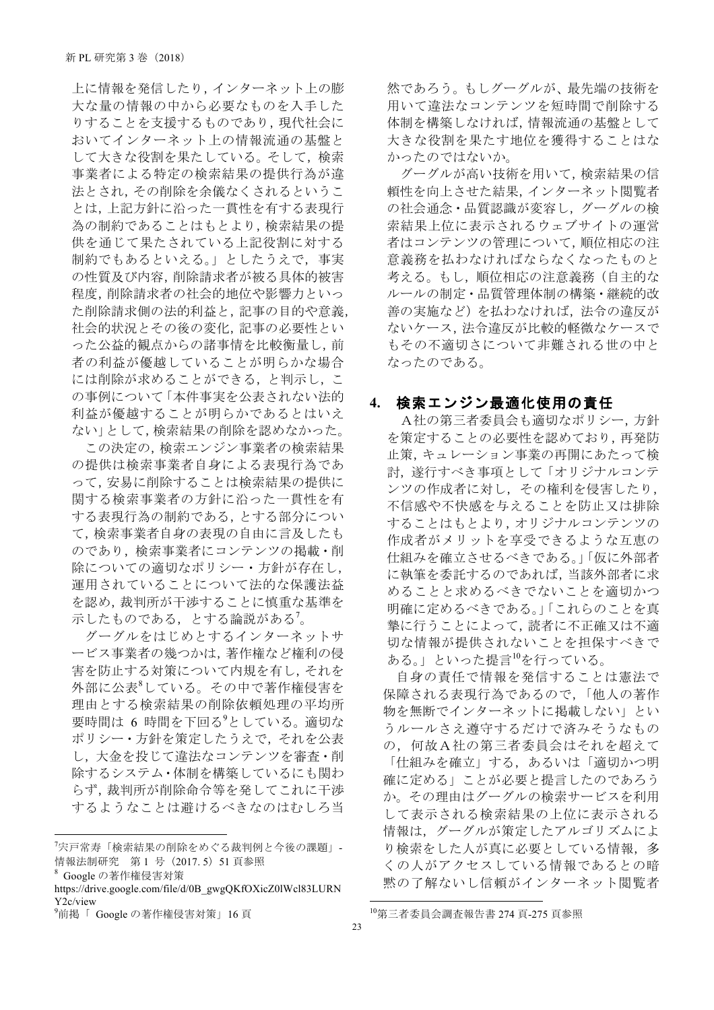上に情報を発信したり,インターネット上の膨 大な量の情報の中から必要なものを入手した りすることを支援するものであり,現代社会に おいてインターネット上の情報流通の基盤と して大きな役割を果たしている。そして、検索 事業者による特定の検索結果の提供行為が違 法とされ、その削除を余儀なくされるというこ とは、上記方針に沿った一貫性を有する表現行 為の制約であることはもとより、検索結果の提 供を通じて果たされている上記役割に対する 制約でもあるといえる。」としたうえで、事実 の性質及び内容,削除請求者が被る具体的被害 程度,削除請求者の社会的地位や影響力といっ た削除請求側の法的利益と,記事の目的や意義, 社会的状況とその後の変化、記事の必要性とい った公益的観点からの諸事情を比較衡量し,前 者の利益が優越していることが明らかな場合 には削除が求めることができる、と判示し、こ の事例について「本件事実を公表されない法的 利益が優越することが明らかであるとはいえ ない」として、検索結果の削除を認めなかった。

この決定の,検索エンジン事業者の検索結果 の提供は検索事業者自身による表現行為であ って、安易に削除することは検索結果の提供に 関する検索事業者の方針に沿った一貫性を有 する表現行為の制約である、とする部分につい て、検索事業者自身の表現の自由に言及したも のであり、検索事業者にコンテンツの掲載・削 除についての適切なポリシー・方針が存在し, 運用されていることについて法的な保護法益 を認め、裁判所が干渉することに慎重な基準を 示したものである、とする論説がある'。

グーグルをはじめとするインターネットサ ービス事業者の幾つかは、著作権など権利の侵 害を防止する対策について内規を有し、それを 外部に公表<sup>8</sup>している。その中で著作権侵害を 理由とする検索結果の削除依頼処理の平均所 要時間は 6 時間を下回る<sup>9</sup>としている。適切な ポリシー・方針を策定したうえで、それを公表 し、大金を投じて違法なコンテンツを審査・削 除するシステム・体制を構築しているにも関わ らず、裁判所が削除命令等を発してこれに干渉 するようなことは避けるべきなのはむしろ当

<sup>8</sup> Google の著作権侵害対策

然であろう。もしグーグルが、最先端の技術を 用いて違法なコンテンツを短時間で削除する 体制を構築しなければ、情報流通の基盤として 大きな役割を果たす地位を獲得することはな かったのではないか。

グーグルが高い技術を用いて、検索結果の信 頼性を向上させた結果、インターネット閲覧者 の社会通念·品質認識が変容し、グーグルの検 索結果上位に表示されるウェブサイトの運営 者はコンテンツの管理について、順位相応の注 意義務を払わなければならなくなったものと 考える。もし、順位相応の注意義務(自主的な ルールの制定・品質管理体制の構築・継続的改 善の実施など)を払わなければ、法令の違反が ないケース、法令違反が比較的軽微なケースで もその不適切さについて非難される世の中と なったのである。

### 4. 検索エンジン最適化使用の青任

A社の第三者委員会も適切なポリシー、方針 を策定することの必要性を認めており、再発防 止策、キュレーション事業の再開にあたって検 討、遂行すべき事項として「オリジナルコンテ ンツの作成者に対し、その権利を侵害したり, 不信感や不快感を与えることを防止又は排除 することはもとより、オリジナルコンテンツの 作成者がメリットを享受できるような互恵の 仕組みを確立させるべきである。」「仮に外部者 に執筆を委託するのであれば、当該外部者に求 めることと求めるべきでないことを適切かつ 明確に定めるべきである。」「これらのことを真 摯に行うことによって、読者に不正確又は不適 切な情報が提供されないことを担保すべきで ある。」といった提言<sup>10</sup>を行っている。

自身の責任で情報を発信することは憲法で 保障される表現行為であるので,「他人の著作 物を無断でインターネットに掲載しない」とい うルールさえ導守するだけで済みそうなもの の、何故A社の第三者委員会はそれを超えて 「仕組みを確立」する、あるいは「適切かつ明 確に定める」ことが必要と提言したのであろう か。その理由はグーグルの検索サービスを利用 して表示される検索結果の上位に表示される 情報は、グーグルが策定したアルゴリズムによ り検索をした人が真に必要としている情報、多 くの人がアクセスしている情報であるとの暗 黙の了解ないし信頼がインターネット閲覧者

<sup>&</sup>lt;sup>7</sup>宍戸常寿「検索結果の削除をめぐる裁判例と今後の課題」-情報法制研究 第1号 (2017.5) 51 頁参照

https://drive.google.com/file/d/0B gwgQKfOXicZ0lWcl83LURN Y2c/view

<sup>&</sup>lt;sup>9</sup>前掲「 Google の著作権侵害対策」16頁

<sup>10</sup>第三者委員会調査報告書 274 頁-275 頁参照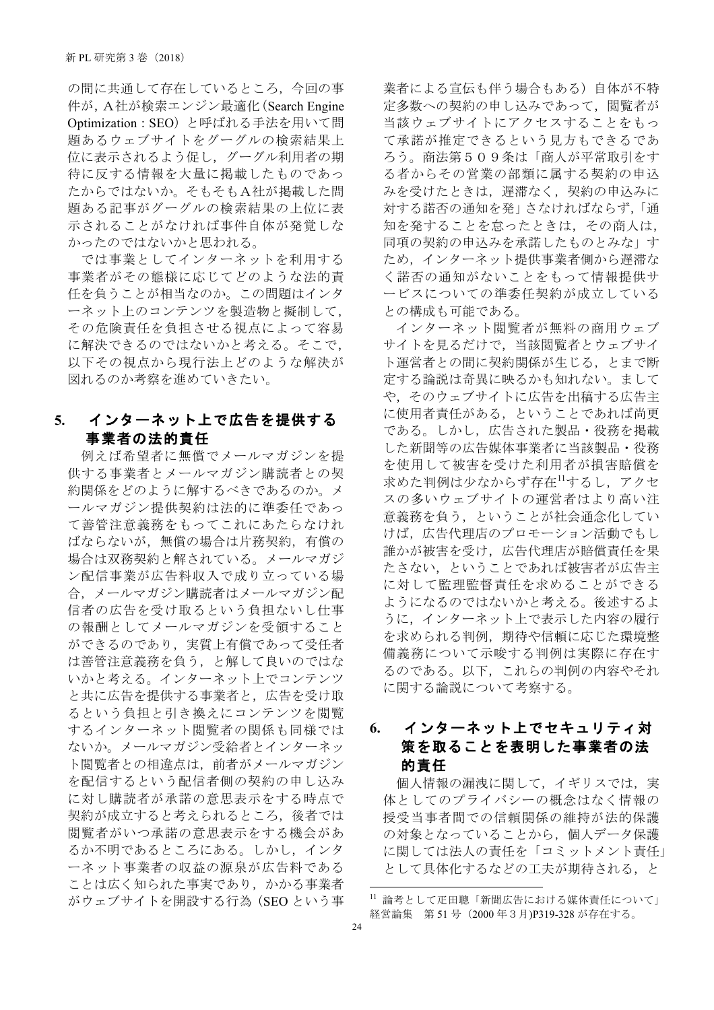の間に共通して存在しているところ、今回の事 件が、A社が検索エンジン最適化(Search Engine Optimization: SEO)と呼ばれる手法を用いて問 題あるウェブサイトをグーグルの検索結果上 位に表示されるよう促し、グーグル利用者の期 待に反する情報を大量に掲載したものであっ たからではないか。そもそもA社が掲載した問 題ある記事がグーグルの検索結果の上位に表 示されることがなければ事件自体が発覚しな かったのではないかと思われる。

では事業としてインターネットを利用する 事業者がその態様に応じてどのような法的責 任を負うことが相当なのか。この問題はインタ ーネット上のコンテンツを製造物と擬制して, その危険責任を負担させる視点によって容易 に解決できるのではないかと考える。そこで, 以下その視点から現行法上どのような解決が 図れるのか考察を進めていきたい。

## 5. インターネット上で広告を提供する 事業者の法的責任

例えば希望者に無償でメールマガジンを提 供する事業者とメールマガジン購読者との契 約関係をどのように解するべきであるのか。メ ールマガジン提供契約は法的に準委任であっ て善管注意義務をもってこれにあたらなけれ ばならないが、無償の場合は片務契約、有償の 場合は双務契約と解されている。メールマガジ ン配信事業が広告料収入で成り立っている場 合、メールマガジン購読者はメールマガジン配 信者の広告を受け取るという負担ないし仕事 の報酬としてメールマガジンを受領すること ができるのであり、実質上有償であって受任者 は善管注意義務を負う、と解して良いのではな いかと考える。インターネット上でコンテンツ と共に広告を提供する事業者と、広告を受け取 るという負担と引き換えにコンテンツを閲覧 するインターネット閲覧者の関係も同様では ないか。メールマガジン受給者とインターネッ ト閲覧者との相違点は、前者がメールマガジン を配信するという配信者側の契約の申し込み に対し購読者が承諾の意思表示をする時点で 契約が成立すると考えられるところ、後者では 閲覧者がいつ承諾の意思表示をする機会があ るか不明であるところにある。しかし、インタ ーネット事業者の収益の源泉が広告料である ことは広く知られた事実であり、かかる事業者 がウェブサイトを開設する行為 (SEO という事 業者による官伝も伴う場合もある)自体が不特 定多数への契約の申し込みであって、閲覧者が 当該ウェブサイトにアクセスすることをもっ て承諾が推定できるという見方もできるであ ろう。商法第509条は「商人が平常取引をす る者からその営業の部類に属する契約の申込 みを受けたときは、遅滞なく、契約の申込みに 対する諾否の通知を発」さなければならず、「通 知を発することを怠ったときは、その商人は, 同項の契約の申込みを承諾したものとみな」す ため、インターネット提供事業者側から遅滞な く諾否の通知がないことをもって情報提供サ ービスについての準委任契約が成立している との構成も可能である。

インターネット閲覧者が無料の商用ウェブ サイトを見るだけで、当該閲覧者とウェブサイ ト運営者との間に契約関係が生じる。とまで断 定する論説は奇異に映るかも知れない。まして や、そのウェブサイトに広告を出稿する広告主 に使用者責任がある、ということであれば尚更 である。しかし、広告された製品·役務を掲載 した新聞等の広告媒体事業者に当該製品·役務 を使用して被害を受けた利用者が損害賠償を 求めた判例は少なからず存在<sup>11</sup>するし、アクセ スの多いウェブサイトの運営者はより高い注 意義務を負う、ということが社会通念化してい けば、広告代理店のプロモーション活動でもし 誰かが被害を受け、広告代理店が賠償責任を果 たさない、ということであれば被害者が広告主 に対して監理監督責任を求めることができる ようになるのではないかと考える。後述するよ うに、インターネット上で表示した内容の履行 を求められる判例、期待や信頼に応じた環境整 備義務について示唆する判例は実際に存在す るのである。以下、これらの判例の内容やそれ に関する論説について考察する。

## 6. インターネット上でセキュリティ対 策を取ることを表明した事業者の法 的青任

個人情報の漏洩に関して、イギリスでは、実 体としてのプライバシーの概念はなく情報の 授受当事者間での信頼関係の維持が法的保護 の対象となっていることから、個人データ保護 に関しては法人の責任を「コミットメント責任」 として具体化するなどの工夫が期待される、と

<sup>11</sup> 論考として疋田聰「新聞広告における媒体責任について」 経営論集 第 51 号 (2000年3月)P319-328 が存在する。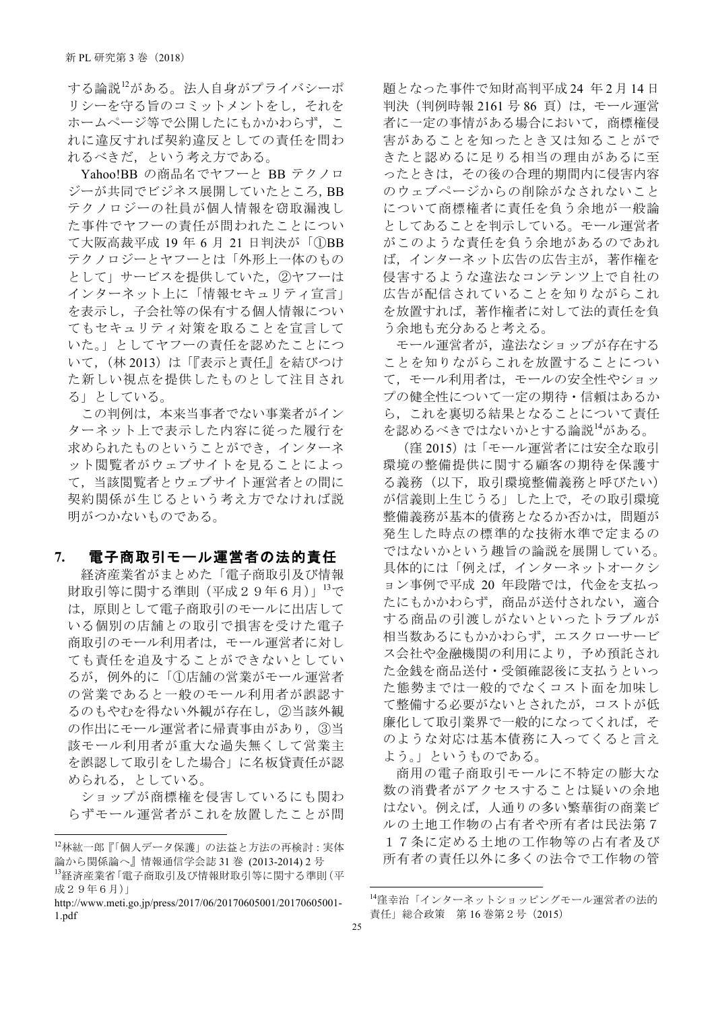する論説<sup>12</sup>がある。法人自身がプライバシーポ リシーを守る旨のコミットメントをし、それを ホームページ等で公開したにもかかわらず、こ れに違反すれば契約違反としての責任を問わ れるべきだ、という考え方である。

Yahoo!BB の商品名でヤフーと BB テクノロ ジーが共同でビジネス展開していたところ、BB テクノロジーの社員が個人情報を窃取漏洩し た事件でヤフーの責任が問われたことについ て大阪高裁平成 19年6月 21 日判決が「①BB テクノロジーとヤフーとは「外形上一体のもの として」サービスを提供していた、2ヤフーは インターネット上に「情報セキュリティ宣言」 を表示し、子会社等の保有する個人情報につい てもセキュリティ対策を取ることを宣言して いた。」としてヤフーの責任を認めたことにつ いて, (林 2013) は「『表示と責任』を結びつけ た新しい視点を提供したものとして注目され る」としている。

この判例は、本来当事者でない事業者がイン ターネット上で表示した内容に従った履行を 求められたものということができ、インターネ ット閲覧者がウェブサイトを見ることによっ て、当該閲覧者とウェブサイト運営者との間に 契約関係が生じるという考え方でなければ説 明がつかないものである。

### 7. 電子商取引モール運営者の法的責任

経済産業省がまとめた「電子商取引及び情報 財取引等に関する準則 (平成29年6月)  $13$ で は、原則として電子商取引のモールに出店して いる個別の店舗との取引で損害を受けた電子 商取引のモール利用者は、モール運営者に対し ても責任を追及することができないとしてい るが、例外的に「1店舗の営業がモール運営者 の営業であると一般のモール利用者が誤認す るのもやむを得ない外観が存在し、②当該外観 の作出にモール運営者に帰責事由があり、3当 該モール利用者が重大な過失無くして営業主 を誤認して取引をした場合」に名板貸責任が認 められる、としている。

ショップが商標権を侵害しているにも関わ らずモール運営者がこれを放置したことが問 題となった事件で知財高判平成 24 年2月14日 判決 (判例時報 2161 号 86 頁) は、モール運営 者に一定の事情がある場合において、商標権侵 害があることを知ったとき又は知ることがで きたと認めるに足りる相当の理由があるに至 ったときは、その後の合理的期間内に侵害内容 のウェブページからの削除がなされないこと について商標権者に責任を負う余地が一般論 としてあることを判示している。モール運営者 がこのような責任を負う余地があるのであれ ば、インターネット広告の広告主が、著作権を 侵害するような違法なコンテンツ上で自社の 広告が配信されていることを知りながらこれ を放置すれば、著作権者に対して法的責任を負 う余地も充分あると考える。

モール運営者が、違法なショップが存在する ことを知りながらこれを放置することについ て、モール利用者は、モールの安全性やショッ プの健全性について一定の期待·信頼はあるか ら、これを裏切る結果となることについて責任 を認めるべきではないかとする論説<sup>14</sup>がある。

(窪 2015) は「モール運営者には安全な取引 環境の整備提供に関する顧客の期待を保護す る義務(以下,取引環境整備義務と呼びたい) が信義則上生じうる」した上で、その取引環境 整備義務が基本的債務となるか否かは、問題が 発生した時点の標準的な技術水準で定まるの ではないかという趣旨の論説を展開している。 具体的には「例えば、インターネットオークシ ョン事例で平成 20 年段階では、代金を支払っ たにもかかわらず、商品が送付されない、適合 する商品の引渡しがないといったトラブルが 相当数あるにもかかわらず、エスクローサービ ス会社や金融機関の利用により、予め預託され た金銭を商品送付・受領確認後に支払うといっ た態勢までは一般的でなくコスト面を加味し て整備する必要がないとされたが、コストが低 廉化して取引業界で一般的になってくれば、そ のような対応は基本債務に入ってくると言え よう。」というものである。

商用の電子商取引モールに不特定の膨大な 数の消費者がアクセスすることは疑いの余地 はない。例えば、人通りの多い繁華街の商業ビ ルの土地工作物の占有者や所有者は民法第7 17条に定める土地の工作物等の占有者及び 所有者の責任以外に多くの法令で工作物の管

 <sup>12</sup>Əǻ~ɭ [}V«ɂ ,Ʋǜ(ŸƲ,¿Ɨȭʥĕ 論から関係論へ』情報通信学会誌 31 巻 (2013-2014) 2 号 13経済産業省「電子商取引及び情報財取引等に関する準則(平 成29年6月)

http://www.meti.go.jp/press/2017/06/20170605001/20170605001- 1.pdf

<sup>14</sup>窪幸治「インターネットショッピングモール運営者の法的 責任」総合政策 第16 巻第2号 (2015)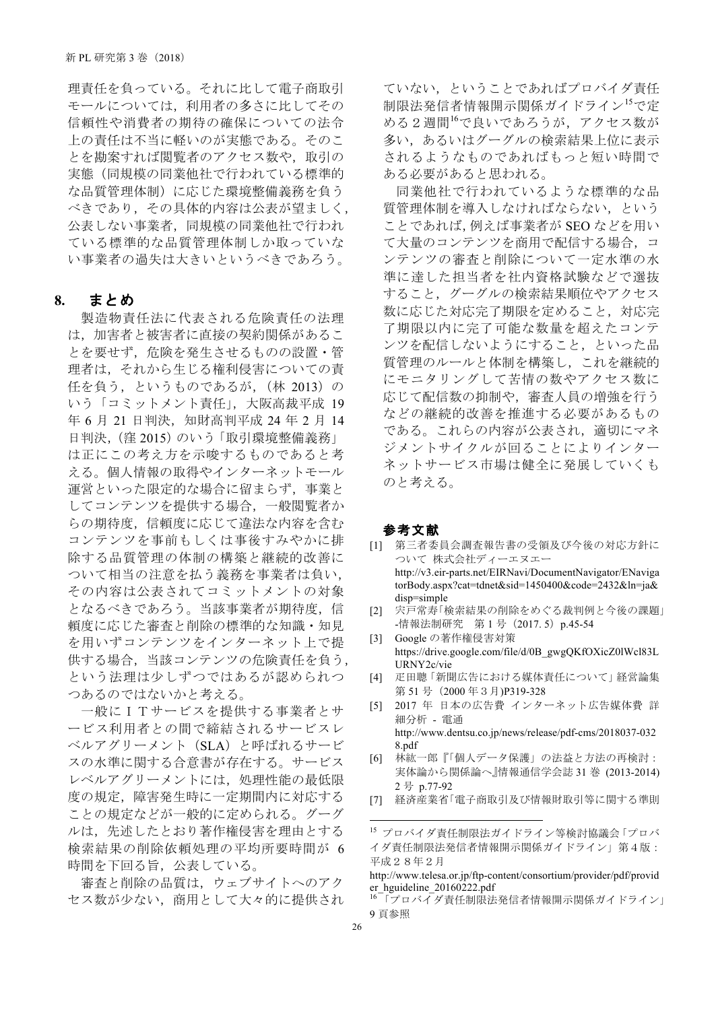理責任を負っている。それに比して電子商取引 モールについては、利用者の多さに比してその 信頼性や消費者の期待の確保についての法令 上の責任は不当に軽いのが実熊である。そのこ とを勘案すれば閲覧者のアクセス数や、取引の 実態(同規模の同業他社で行われている標準的 な品質管理体制)に応じた環境整備義務を負う べきであり、 その具体的内容は公表が望ましく, 公表しない事業者、同規模の同業他社で行われ ている標準的な品質管理体制しか取っていな い事業者の過失は大きいというべきであろう。

#### **8.**

製造物責任法に代表される危険責任の法理 は、加害者と被害者に直接の契約関係があるこ とを要せず、危険を発生させるものの設置·管 理者は、それから生じる権利侵害についての責 任を負う、というものであるが、(林 2013)の いう「コミットメント責任」,大阪高裁平成 19 年 6 月 21 日判決, 知財高判平成 24 年 2 月 14 日判決, (窪 2015) のいう「取引環境整備義務」 は正にこの考え方を示唆するものであると考 える。個人情報の取得やインターネットモール 運営といった限定的な場合に留まらず、事業と してコンテンツを提供する場合, 一般閲覧者か らの期待度、信頼度に応じて違法な内容を含む コンテンツを事前もしくは事後すみやかに排 除する品質管理の体制の構築と継続的改善に ついて相当の注意を払う義務を事業者は負い, その内容は公表されてコミットメントの対象 となるべきであろう。当該事業者が期待度、信 頼度に応じた審査と削除の標準的な知識·知見 を用いずコンテンツをインターネット上で提 供する場合、当該コンテンツの危険責任を負う, という法理は少しずつではあるが認められつ つあるのではないかと考える。

一般にITサービスを提供する事業者とサ ービス利用者との間で締結されるサービスレ ベルアグリーメント (SLA) と呼ばれるサービ スの水準に関する合意書が存在する。サービス レベルアグリーメントには、処理性能の最低限 度の規定、障害発生時に一定期間内に対応する ことの規定などが一般的に定められる。グーグ ルは、先述したとおり著作権侵害を理由とする 検索結果の削除依頼処理の平均所要時間が 6 時間を下回る旨、公表している。

審査と削除の品質は、ウェブサイトへのアク セス数が少ない、商用として大々的に提供され ていない、ということであればプロバイダ責任 制限法発信者情報開示関係ガイドライン<sup>15</sup>で定 める2週間16で良いであろうが、アクセス数が 多い、あるいはグーグルの検索結果上位に表示 されるようなものであればもっと短い時間で ある必要があると思われる。

同業他社で行われているような標準的な品 質管理体制を導入しなければならない. という ことであれば, 例えば事業者が SEO などを用い て大量のコンテンツを商用で配信する場合、コ ンテンツの審査と削除について一定水準の水 準に達した担当者を社内資格試験などで選抜 すること、グーグルの検索結果順位やアクセス 数に応じた対応完了期限を定めること、対応完 了期限以内に完了可能な数量を超えたコンテ ンツを配信しないようにすること、といった品 質管理のルールと体制を構築し、これを継続的 にモニタリングして苦情の数やアクセス数に 応じて配信数の抑制や、審査人員の増強を行う などの継続的改善を推進する必要があるもの である。これらの内容が公表され、適切にマネ ジメントサイクルが回ることによりインター ネットサービス市場は健全に発展していくも のと考える。

#### 参考文献

- [1] 第三者委員会調査報告書の受領及び今後の対応方針に ついて 株式会社ディーエヌエー http://v3.eir-parts.net/EIRNavi/DocumentNavigator/ENaviga torBody.aspx?cat=tdnet&sid=1450400&code=2432&ln=ja& disp=simple
- [2] 宍戸常寿「検索結果の削除をめぐる裁判例と今後の課題」 -情報法制研究 第1号 (2017. 5) p.45-54
- [3] Google の著作権侵害対策 https://drive.google.com/file/d/0B\_gwgQKfOXicZ0lWcl83L URNY2c/vie
- [4] 疋田聰「新聞広告における媒体責任について」経営論集 第 51 号 (2000年3月)P319-328
- [5] 2017 年 日本の広告費 インターネット広告媒体費 詳 細分析 - 電通 http://www.dentsu.co.jp/news/release/pdf-cms/2018037-032 8.pdf
- [6] 林紘一郎『「個人データ保護」の法益と方法の再検討: 実体論から関係論へ』情報通信学会誌 31 巻 (2013-2014) 2 ã p.77-92
- [7] 経済産業省「電子商取引及び情報財取引等に関する準則

<sup>15</sup> プロバイダ責任制限法ガイドライン等検討協議会「プロバ イダ責任制限法発信者情報開示関係ガイドライン」第4版:  $\overline{\text{H}}$ 成28年2月

http://www.telesa.or.jp/ftp-content/consortium/provider/pdf/provid er\_hguideline\_20160222.pdf

<sup>16 「</sup>プロバイダ責任制限法発信者情報開示関係ガイドライン」 9頁参照